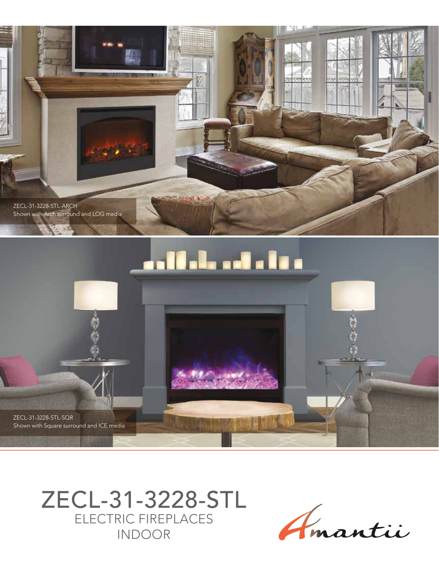

# an Mala and a little

ZECL-31-3228-STL-SQR Shown with Square surround and ICE media

> ZECL-31-3228-STL ELECTRIC FIREPLACES INDOOR